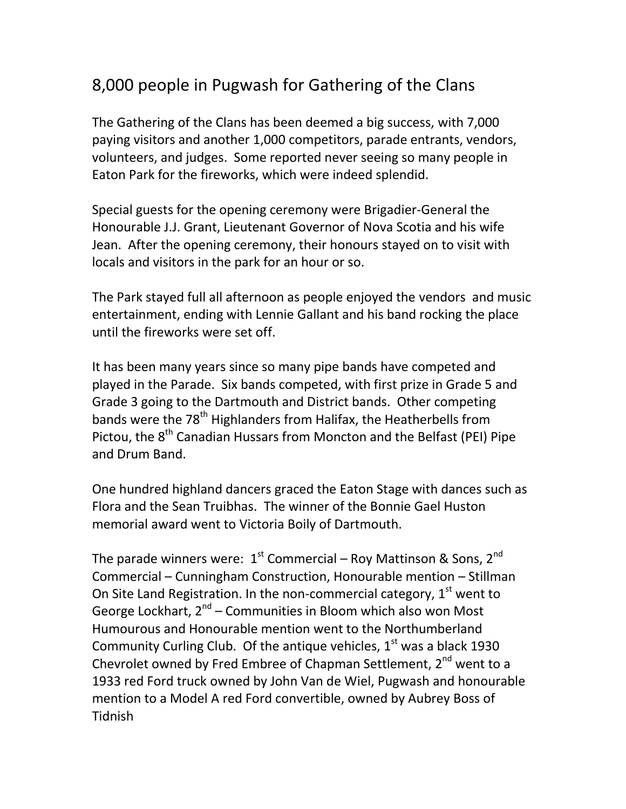## 8,000 people in Pugwash for Gathering of the Clans

The Gathering of the Clans has been deemed a big success, with 7,000 paying visitors and another 1,000 competitors, parade entrants, vendors, volunteers, and judges. Some reported never seeing so many people in Eaton Park for the fireworks, which were indeed splendid.

Special guests for the opening ceremony were Brigadier-General the Honourable J.J. Grant, Lieutenant Governor of Nova Scotia and his wife Jean. After the opening ceremony, their honours stayed on to visit with locals and visitors in the park for an hour or so.

The Park stayed full all afternoon as people enjoyed the vendors and music entertainment, ending with Lennie Gallant and his band rocking the place until the fireworks were set off.

It has been many years since so many pipe bands have competed and played in the Parade. Six bands competed, with first prize in Grade 5 and Grade 3 going to the Dartmouth and District bands. Other competing bands were the 78<sup>th</sup> Highlanders from Halifax, the Heatherbells from Pictou, the 8<sup>th</sup> Canadian Hussars from Moncton and the Belfast (PEI) Pipe and Drum Band.

One hundred highland dancers graced the Eaton Stage with dances such as Flora and the Sean Truibhas. The winner of the Bonnie Gael Huston memorial award went to Victoria Boily of Dartmouth.

The parade winners were:  $1^{st}$  Commercial – Roy Mattinson & Sons,  $2^{nd}$ Commercial – Cunningham Construction, Honourable mention – Stillman On Site Land Registration. In the non-commercial category,  $1<sup>st</sup>$  went to George Lockhart, 2<sup>nd</sup> – Communities in Bloom which also won Most Humourous and Honourable mention went to the Northumberland Community Curling Club. Of the antique vehicles,  $1<sup>st</sup>$  was a black 1930 Chevrolet owned by Fred Embree of Chapman Settlement, 2<sup>nd</sup> went to a 1933 red Ford truck owned by John Van de Wiel, Pugwash and honourable mention to a Model A red Ford convertible, owned by Aubrey Boss of Tidnish